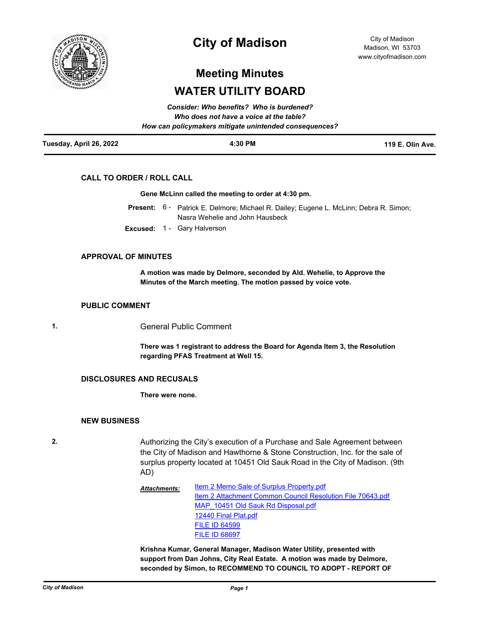

## **City of Madison**

City of Madison Madison, WI 53703 www.cityofmadison.com

# **Meeting Minutes WATER UTILITY BOARD**

|                         | Who does not have a voice at the table?<br>How can policymakers mitigate unintended consequences? |                  |
|-------------------------|---------------------------------------------------------------------------------------------------|------------------|
| Tuesday, April 26, 2022 | 4:30 PM                                                                                           | 119 E. Olin Ave. |

## **CALL TO ORDER / ROLL CALL**

#### **Gene McLinn called the meeting to order at 4:30 pm.**

- Present: 6 Patrick E. Delmore; Michael R. Dailey; Eugene L. McLinn; Debra R. Simon; Nasra Wehelie and John Hausbeck
- **Excused:** 1 Gary Halverson

## **APPROVAL OF MINUTES**

**A motion was made by Delmore, seconded by Ald. Wehelie, to Approve the Minutes of the March meeting. The motion passed by voice vote.**

#### **PUBLIC COMMENT**

**1.** General Public Comment

**There was 1 registrant to address the Board for Agenda Item 3, the Resolution regarding PFAS Treatment at Well 15.**

#### **DISCLOSURES AND RECUSALS**

**There were none.**

#### **NEW BUSINESS**

**2.** Authorizing the City's execution of a Purchase and Sale Agreement between the City of Madison and Hawthorne & Stone Construction, Inc. for the sale of surplus property located at 10451 Old Sauk Road in the City of Madison. (9th AD)

> [Item 2 Memo Sale of Surplus Property.pdf](http://madison.legistar.com/gateway.aspx?M=F&ID=53187541-5b60-43b1-9f7b-6e1ac2f11183.pdf) [Item 2 Attachment Common Council Resolution File 70643.pdf](http://madison.legistar.com/gateway.aspx?M=F&ID=1e41dd66-cb5c-46d2-a08f-04bd15c03052.pdf) MAP 10451 Old Sauk Rd Disposal.pdf [12440 Final Plat.pdf](http://madison.legistar.com/gateway.aspx?M=F&ID=e06d8ca5-e07e-4fab-a723-35a5554b956a.pdf) [FILE ID 64599](https://madison.legistar.com/LegislationDetail.aspx?ID=4890244&GUID=E414CD4A-5179-4BEF-B898-8080DAD4CB8C&Options=ID|&Search=64599) [FILE ID 68697](https://madison.legistar.com/LegislationDetail.aspx?ID=5350929&GUID=3361AD37-9C51-4F68-90A2-6898E5DE3409&Options=ID|&Search=68697) *Attachments:*

> **Krishna Kumar, General Manager, Madison Water Utility, presented with support from Dan Johns, City Real Estate. A motion was made by Delmore, seconded by Simon, to RECOMMEND TO COUNCIL TO ADOPT - REPORT OF**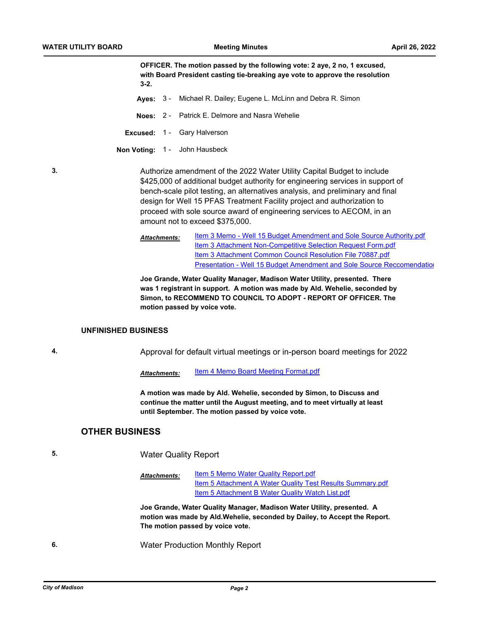**OFFICER. The motion passed by the following vote: 2 aye, 2 no, 1 excused, with Board President casting tie-breaking aye vote to approve the resolution 3-2.**

- **Ayes:** 3 Michael R. Dailey; Eugene L. McLinn and Debra R. Simon
- **Noes:** 2 Patrick E. Delmore and Nasra Wehelie
- **Excused:** 1 Gary Halverson

**Non Voting:** 1 - John Hausbeck

**3.** Authorize amendment of the 2022 Water Utility Capital Budget to include \$425,000 of additional budget authority for engineering services in support of bench-scale pilot testing, an alternatives analysis, and preliminary and final design for Well 15 PFAS Treatment Facility project and authorization to proceed with sole source award of engineering services to AECOM, in an amount not to exceed \$375,000.

> [Item 3 Memo - Well 15 Budget Amendment and Sole Source Authority.pdf](http://madison.legistar.com/gateway.aspx?M=F&ID=9f316781-2ee9-4546-9565-6872c7180ffb.pdf) [Item 3 Attachment Non-Competitive Selection Request Form.pdf](http://madison.legistar.com/gateway.aspx?M=F&ID=00770b94-8018-45d6-b176-c4a128a2b541.pdf) [Item 3 Attachment Common Council Resolution File 70887.pdf](http://madison.legistar.com/gateway.aspx?M=F&ID=7754ba61-cf4b-4eb0-bc1d-6a325e4a1aa3.pdf) [Presentation - Well 15 Budget Amendment and Sole Source Reccomendation](http://madison.legistar.com/gateway.aspx?M=F&ID=1a58baea-f15c-4da4-a82b-0d5eb0cd4282.pdf) *Attachments:*

**Joe Grande, Water Quality Manager, Madison Water Utility, presented. There was 1 registrant in support. A motion was made by Ald. Wehelie, seconded by Simon, to RECOMMEND TO COUNCIL TO ADOPT - REPORT OF OFFICER. The motion passed by voice vote.**

#### **UNFINISHED BUSINESS**

**4.** Approval for default virtual meetings or in-person board meetings for 2022

Attachments: [Item 4 Memo Board Meeting Format.pdf](http://madison.legistar.com/gateway.aspx?M=F&ID=e4310d12-798c-4f87-93fd-0ce4cf15fc19.pdf)

**A motion was made by Ald. Wehelie, seconded by Simon, to Discuss and continue the matter until the August meeting, and to meet virtually at least until September. The motion passed by voice vote.**

### **OTHER BUSINESS**

**5.** Water Quality Report

[Item 5 Memo Water Quality Report.pdf](http://madison.legistar.com/gateway.aspx?M=F&ID=0f162bbc-6765-4e0a-9a33-3e80bacaddaa.pdf) [Item 5 Attachment A Water Quality Test Results Summary.pdf](http://madison.legistar.com/gateway.aspx?M=F&ID=6c868879-89ae-461d-8c6b-3a7987cdd102.pdf) [Item 5 Attachment B Water Quality Watch List.pdf](http://madison.legistar.com/gateway.aspx?M=F&ID=63b4c3e6-5169-4f01-b95a-7dcf0d27565c.pdf) *Attachments:*

**Joe Grande, Water Quality Manager, Madison Water Utility, presented. A motion was made by Ald.Wehelie, seconded by Dailey, to Accept the Report. The motion passed by voice vote.**

**6.** Water Production Monthly Report